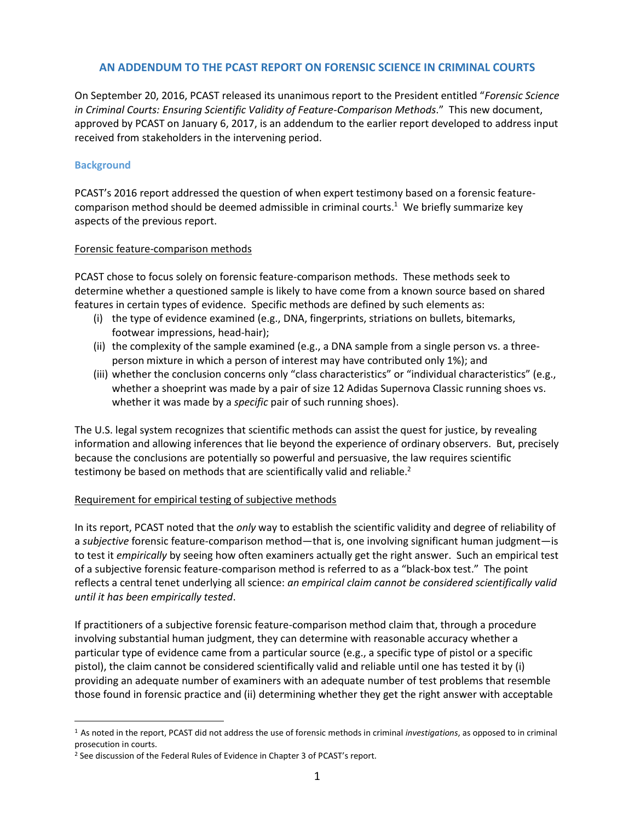## **AN ADDENDUM TO THE PCAST REPORT ON FORENSIC SCIENCE IN CRIMINAL COURTS**

On September 20, 2016, PCAST released its unanimous report to the President entitled "*Forensic Science in Criminal Courts: Ensuring Scientific Validity of Feature-Comparison Methods*." This new document, approved by PCAST on January 6, 2017, is an addendum to the earlier report developed to address input received from stakeholders in the intervening period.

## **Background**

 $\overline{a}$ 

PCAST's 2016 report addressed the question of when expert testimony based on a forensic featurecomparison method should be deemed admissible in criminal courts. <sup>1</sup> We briefly summarize key aspects of the previous report.

### Forensic feature-comparison methods

PCAST chose to focus solely on forensic feature-comparison methods. These methods seek to determine whether a questioned sample is likely to have come from a known source based on shared features in certain types of evidence. Specific methods are defined by such elements as:

- (i) the type of evidence examined (e.g., DNA, fingerprints, striations on bullets, bitemarks, footwear impressions, head-hair);
- (ii) the complexity of the sample examined (e.g., a DNA sample from a single person vs. a threeperson mixture in which a person of interest may have contributed only 1%); and
- (iii) whether the conclusion concerns only "class characteristics" or "individual characteristics" (e.g., whether a shoeprint was made by a pair of size 12 Adidas Supernova Classic running shoes vs. whether it was made by a *specific* pair of such running shoes).

The U.S. legal system recognizes that scientific methods can assist the quest for justice, by revealing information and allowing inferences that lie beyond the experience of ordinary observers. But, precisely because the conclusions are potentially so powerful and persuasive, the law requires scientific testimony be based on methods that are scientifically valid and reliable.<sup>2</sup>

# Requirement for empirical testing of subjective methods

In its report, PCAST noted that the *only* way to establish the scientific validity and degree of reliability of a *subjective* forensic feature-comparison method—that is, one involving significant human judgment—is to test it *empirically* by seeing how often examiners actually get the right answer. Such an empirical test of a subjective forensic feature-comparison method is referred to as a "black-box test." The point reflects a central tenet underlying all science: *an empirical claim cannot be considered scientifically valid until it has been empirically tested*.

If practitioners of a subjective forensic feature-comparison method claim that, through a procedure involving substantial human judgment, they can determine with reasonable accuracy whether a particular type of evidence came from a particular source (e.g., a specific type of pistol or a specific pistol), the claim cannot be considered scientifically valid and reliable until one has tested it by (i) providing an adequate number of examiners with an adequate number of test problems that resemble those found in forensic practice and (ii) determining whether they get the right answer with acceptable

<sup>1</sup> As noted in the report, PCAST did not address the use of forensic methods in criminal *investigations*, as opposed to in criminal prosecution in courts.

<sup>&</sup>lt;sup>2</sup> See discussion of the Federal Rules of Evidence in Chapter 3 of PCAST's report.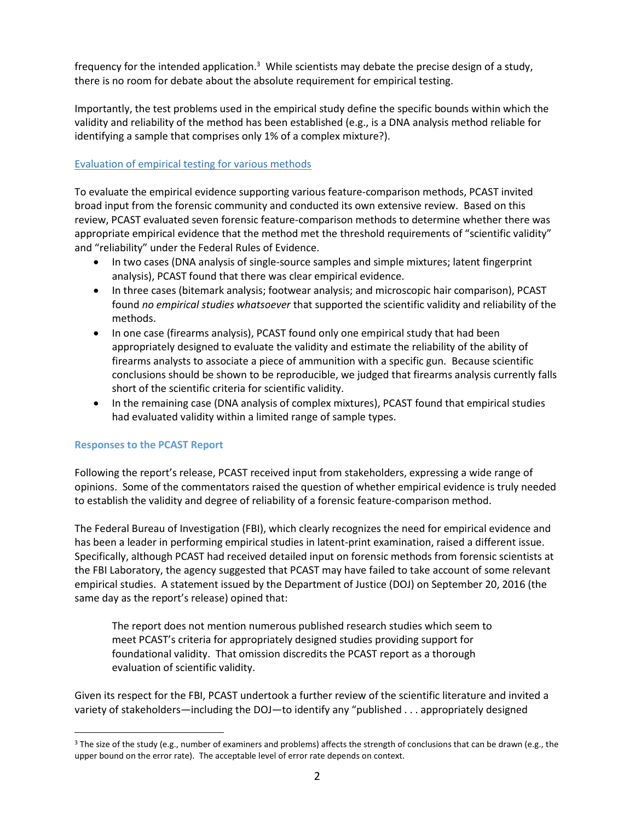frequency for the intended application.<sup>3</sup> While scientists may debate the precise design of a study, there is no room for debate about the absolute requirement for empirical testing.

Importantly, the test problems used in the empirical study define the specific bounds within which the validity and reliability of the method has been established (e.g., is a DNA analysis method reliable for identifying a sample that comprises only 1% of a complex mixture?).

## Evaluation of empirical testing for various methods

To evaluate the empirical evidence supporting various feature-comparison methods, PCAST invited broad input from the forensic community and conducted its own extensive review. Based on this review, PCAST evaluated seven forensic feature-comparison methods to determine whether there was appropriate empirical evidence that the method met the threshold requirements of "scientific validity" and "reliability" under the Federal Rules of Evidence.

- In two cases (DNA analysis of single-source samples and simple mixtures; latent fingerprint analysis), PCAST found that there was clear empirical evidence.
- In three cases (bitemark analysis; footwear analysis; and microscopic hair comparison), PCAST found *no empirical studies whatsoever* that supported the scientific validity and reliability of the methods.
- In one case (firearms analysis), PCAST found only one empirical study that had been appropriately designed to evaluate the validity and estimate the reliability of the ability of firearms analysts to associate a piece of ammunition with a specific gun. Because scientific conclusions should be shown to be reproducible, we judged that firearms analysis currently falls short of the scientific criteria for scientific validity.
- In the remaining case (DNA analysis of complex mixtures), PCAST found that empirical studies had evaluated validity within a limited range of sample types.

### **Responses to the PCAST Report**

 $\overline{a}$ 

Following the report's release, PCAST received input from stakeholders, expressing a wide range of opinions. Some of the commentators raised the question of whether empirical evidence is truly needed to establish the validity and degree of reliability of a forensic feature-comparison method.

The Federal Bureau of Investigation (FBI), which clearly recognizes the need for empirical evidence and has been a leader in performing empirical studies in latent-print examination, raised a different issue. Specifically, although PCAST had received detailed input on forensic methods from forensic scientists at the FBI Laboratory, the agency suggested that PCAST may have failed to take account of some relevant empirical studies. A statement issued by the Department of Justice (DOJ) on September 20, 2016 (the same day as the report's release) opined that:

The report does not mention numerous published research studies which seem to meet PCAST's criteria for appropriately designed studies providing support for foundational validity. That omission discredits the PCAST report as a thorough evaluation of scientific validity.

Given its respect for the FBI, PCAST undertook a further review of the scientific literature and invited a variety of stakeholders—including the DOJ—to identify any "published . . . appropriately designed

<sup>&</sup>lt;sup>3</sup> The size of the study (e.g., number of examiners and problems) affects the strength of conclusions that can be drawn (e.g., the upper bound on the error rate). The acceptable level of error rate depends on context.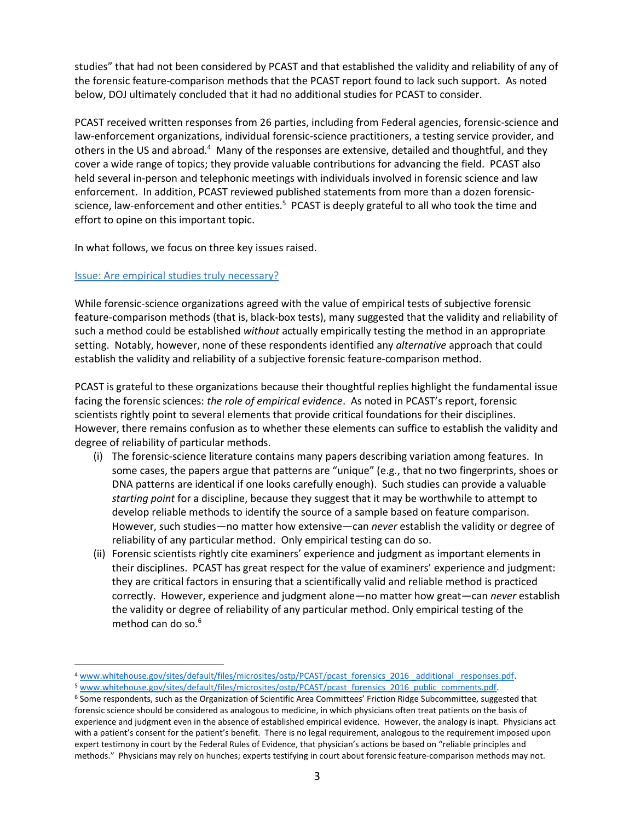studies" that had not been considered by PCAST and that established the validity and reliability of any of the forensic feature-comparison methods that the PCAST report found to lack such support. As noted below, DOJ ultimately concluded that it had no additional studies for PCAST to consider.

PCAST received written responses from 26 parties, including from Federal agencies, forensic-science and law-enforcement organizations, individual forensic-science practitioners, a testing service provider, and others in the US and abroad.<sup>4</sup> Many of the responses are extensive, detailed and thoughtful, and they cover a wide range of topics; they provide valuable contributions for advancing the field. PCAST also held several in-person and telephonic meetings with individuals involved in forensic science and law enforcement. In addition, PCAST reviewed published statements from more than a dozen forensicscience, law-enforcement and other entities.<sup>5</sup> PCAST is deeply grateful to all who took the time and effort to opine on this important topic.

In what follows, we focus on three key issues raised.

## Issue: Are empirical studies truly necessary?

 $\overline{a}$ 

While forensic-science organizations agreed with the value of empirical tests of subjective forensic feature-comparison methods (that is, black-box tests), many suggested that the validity and reliability of such a method could be established *without* actually empirically testing the method in an appropriate setting. Notably, however, none of these respondents identified any *alternative* approach that could establish the validity and reliability of a subjective forensic feature-comparison method.

PCAST is grateful to these organizations because their thoughtful replies highlight the fundamental issue facing the forensic sciences: *the role of empirical evidence*. As noted in PCAST's report, forensic scientists rightly point to several elements that provide critical foundations for their disciplines. However, there remains confusion as to whether these elements can suffice to establish the validity and degree of reliability of particular methods.

- (i) The forensic-science literature contains many papers describing variation among features. In some cases, the papers argue that patterns are "unique" (e.g., that no two fingerprints, shoes or DNA patterns are identical if one looks carefully enough). Such studies can provide a valuable *starting point* for a discipline, because they suggest that it may be worthwhile to attempt to develop reliable methods to identify the source of a sample based on feature comparison. However, such studies—no matter how extensive—can *never* establish the validity or degree of reliability of any particular method. Only empirical testing can do so.
- (ii) Forensic scientists rightly cite examiners' experience and judgment as important elements in their disciplines. PCAST has great respect for the value of examiners' experience and judgment: they are critical factors in ensuring that a scientifically valid and reliable method is practiced correctly. However, experience and judgment alone—no matter how great—can *never* establish the validity or degree of reliability of any particular method. Only empirical testing of the method can do so.<sup>6</sup>

<sup>4</sup> www.whitehouse.gov/sites/default/files/microsites/ostp/PCAST/pcast\_forensics\_2016\_additional\_responses.pdf. <sup>5</sup> [www.whitehouse.gov/sites/default/files/microsites/ostp/PCAST/pcast\\_forensics\\_2016\\_public\\_comments.pdf.](https://www.whitehouse.gov/sites/default/files/microsites/ostp/PCAST/pcast_forensics_2016_public_comments.pdf)

<sup>6</sup> Some respondents, such as the Organization of Scientific Area Committees' Friction Ridge Subcommittee, suggested that forensic science should be considered as analogous to medicine, in which physicians often treat patients on the basis of experience and judgment even in the absence of established empirical evidence. However, the analogy is inapt. Physicians act with a patient's consent for the patient's benefit. There is no legal requirement, analogous to the requirement imposed upon expert testimony in court by the Federal Rules of Evidence, that physician's actions be based on "reliable principles and methods." Physicians may rely on hunches; experts testifying in court about forensic feature-comparison methods may not.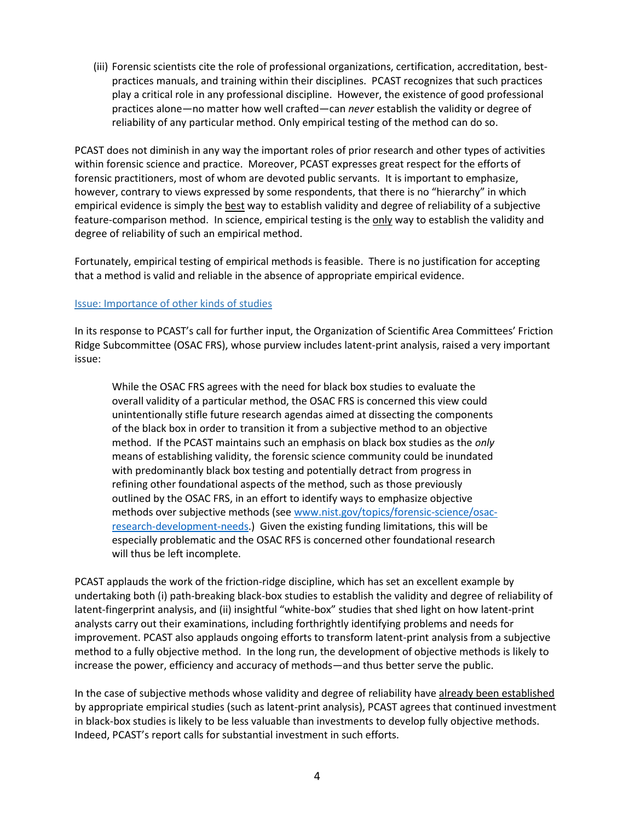(iii) Forensic scientists cite the role of professional organizations, certification, accreditation, bestpractices manuals, and training within their disciplines. PCAST recognizes that such practices play a critical role in any professional discipline. However, the existence of good professional practices alone—no matter how well crafted—can *never* establish the validity or degree of reliability of any particular method. Only empirical testing of the method can do so.

PCAST does not diminish in any way the important roles of prior research and other types of activities within forensic science and practice. Moreover, PCAST expresses great respect for the efforts of forensic practitioners, most of whom are devoted public servants. It is important to emphasize, however, contrary to views expressed by some respondents, that there is no "hierarchy" in which empirical evidence is simply the best way to establish validity and degree of reliability of a subjective feature-comparison method. In science, empirical testing is the only way to establish the validity and degree of reliability of such an empirical method.

Fortunately, empirical testing of empirical methods is feasible. There is no justification for accepting that a method is valid and reliable in the absence of appropriate empirical evidence.

## Issue: Importance of other kinds of studies

In its response to PCAST's call for further input, the Organization of Scientific Area Committees' Friction Ridge Subcommittee (OSAC FRS), whose purview includes latent-print analysis, raised a very important issue:

While the OSAC FRS agrees with the need for black box studies to evaluate the overall validity of a particular method, the OSAC FRS is concerned this view could unintentionally stifle future research agendas aimed at dissecting the components of the black box in order to transition it from a subjective method to an objective method. If the PCAST maintains such an emphasis on black box studies as the *only* means of establishing validity, the forensic science community could be inundated with predominantly black box testing and potentially detract from progress in refining other foundational aspects of the method, such as those previously outlined by the OSAC FRS, in an effort to identify ways to emphasize objective methods over subjective methods (se[e www.nist.gov/topics/forensic-science/osac](www.nist.gov/topics/forensic-science/osac-research-development-needs)[research-development-needs.](www.nist.gov/topics/forensic-science/osac-research-development-needs)) Given the existing funding limitations, this will be especially problematic and the OSAC RFS is concerned other foundational research will thus be left incomplete.

PCAST applauds the work of the friction-ridge discipline, which has set an excellent example by undertaking both (i) path-breaking black-box studies to establish the validity and degree of reliability of latent-fingerprint analysis, and (ii) insightful "white-box" studies that shed light on how latent-print analysts carry out their examinations, including forthrightly identifying problems and needs for improvement. PCAST also applauds ongoing efforts to transform latent-print analysis from a subjective method to a fully objective method. In the long run, the development of objective methods is likely to increase the power, efficiency and accuracy of methods—and thus better serve the public.

In the case of subjective methods whose validity and degree of reliability have already been established by appropriate empirical studies (such as latent-print analysis), PCAST agrees that continued investment in black-box studies is likely to be less valuable than investments to develop fully objective methods. Indeed, PCAST's report calls for substantial investment in such efforts.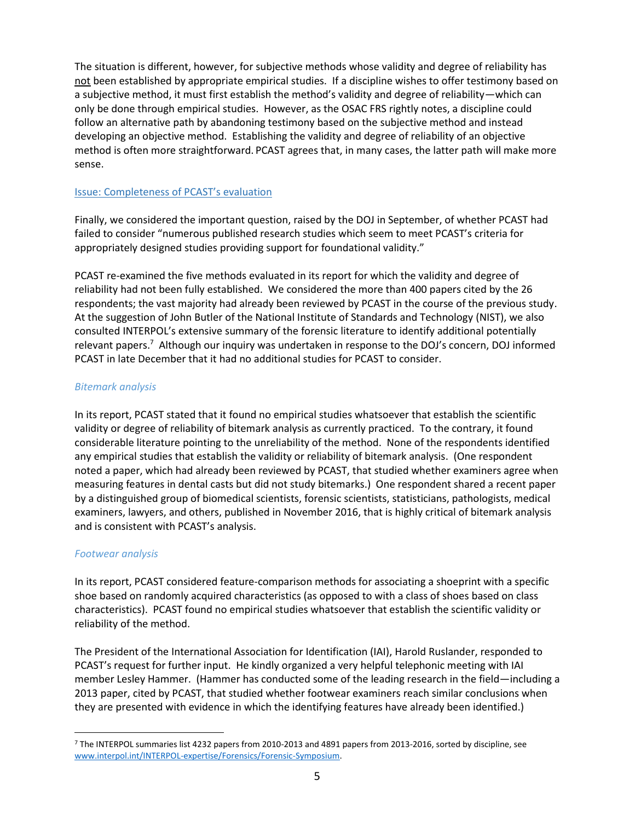The situation is different, however, for subjective methods whose validity and degree of reliability has not been established by appropriate empirical studies. If a discipline wishes to offer testimony based on a subjective method, it must first establish the method's validity and degree of reliability—which can only be done through empirical studies. However, as the OSAC FRS rightly notes, a discipline could follow an alternative path by abandoning testimony based on the subjective method and instead developing an objective method. Establishing the validity and degree of reliability of an objective method is often more straightforward. PCAST agrees that, in many cases, the latter path will make more sense.

### Issue: Completeness of PCAST's evaluation

Finally, we considered the important question, raised by the DOJ in September, of whether PCAST had failed to consider "numerous published research studies which seem to meet PCAST's criteria for appropriately designed studies providing support for foundational validity."

PCAST re-examined the five methods evaluated in its report for which the validity and degree of reliability had not been fully established. We considered the more than 400 papers cited by the 26 respondents; the vast majority had already been reviewed by PCAST in the course of the previous study. At the suggestion of John Butler of the National Institute of Standards and Technology (NIST), we also consulted INTERPOL's extensive summary of the forensic literature to identify additional potentially relevant papers.<sup>7</sup> Although our inquiry was undertaken in response to the DOJ's concern, DOJ informed PCAST in late December that it had no additional studies for PCAST to consider.

# *Bitemark analysis*

In its report, PCAST stated that it found no empirical studies whatsoever that establish the scientific validity or degree of reliability of bitemark analysis as currently practiced. To the contrary, it found considerable literature pointing to the unreliability of the method. None of the respondents identified any empirical studies that establish the validity or reliability of bitemark analysis. (One respondent noted a paper, which had already been reviewed by PCAST, that studied whether examiners agree when measuring features in dental casts but did not study bitemarks.) One respondent shared a recent paper by a distinguished group of biomedical scientists, forensic scientists, statisticians, pathologists, medical examiners, lawyers, and others, published in November 2016, that is highly critical of bitemark analysis and is consistent with PCAST's analysis.

# *Footwear analysis*

 $\overline{a}$ 

In its report, PCAST considered feature-comparison methods for associating a shoeprint with a specific shoe based on randomly acquired characteristics (as opposed to with a class of shoes based on class characteristics). PCAST found no empirical studies whatsoever that establish the scientific validity or reliability of the method.

The President of the International Association for Identification (IAI), Harold Ruslander, responded to PCAST's request for further input. He kindly organized a very helpful telephonic meeting with IAI member Lesley Hammer. (Hammer has conducted some of the leading research in the field—including a 2013 paper, cited by PCAST, that studied whether footwear examiners reach similar conclusions when they are presented with evidence in which the identifying features have already been identified.)

<sup>7</sup> The INTERPOL summaries list 4232 papers from 2010-2013 and 4891 papers from 2013-2016, sorted by discipline, see [www.interpol.int/INTERPOL-expertise/Forensics/Forensic-Symposium.](https://www.interpol.int/INTERPOL-expertise/Forensics/Forensic-Symposium)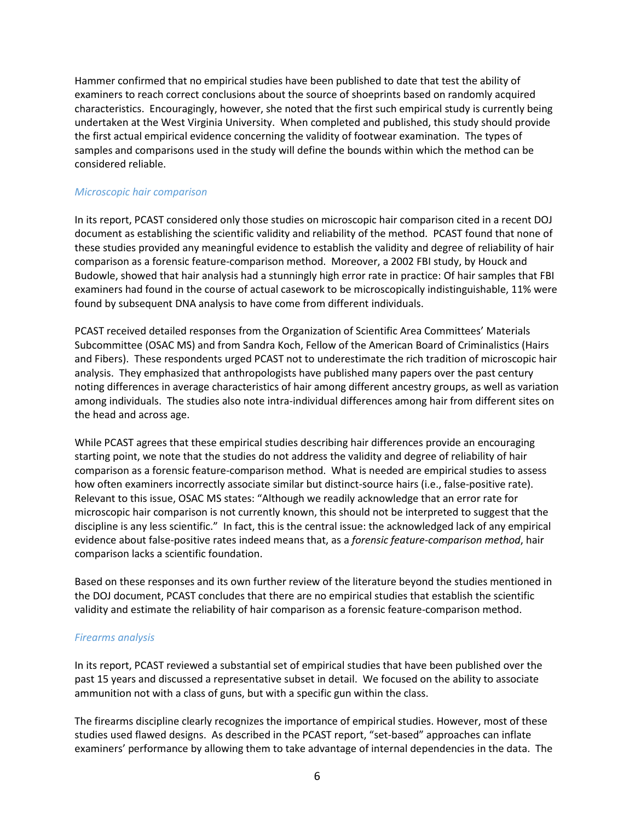Hammer confirmed that no empirical studies have been published to date that test the ability of examiners to reach correct conclusions about the source of shoeprints based on randomly acquired characteristics. Encouragingly, however, she noted that the first such empirical study is currently being undertaken at the West Virginia University. When completed and published, this study should provide the first actual empirical evidence concerning the validity of footwear examination. The types of samples and comparisons used in the study will define the bounds within which the method can be considered reliable.

#### *Microscopic hair comparison*

In its report, PCAST considered only those studies on microscopic hair comparison cited in a recent DOJ document as establishing the scientific validity and reliability of the method. PCAST found that none of these studies provided any meaningful evidence to establish the validity and degree of reliability of hair comparison as a forensic feature-comparison method. Moreover, a 2002 FBI study, by Houck and Budowle, showed that hair analysis had a stunningly high error rate in practice: Of hair samples that FBI examiners had found in the course of actual casework to be microscopically indistinguishable, 11% were found by subsequent DNA analysis to have come from different individuals.

PCAST received detailed responses from the Organization of Scientific Area Committees' Materials Subcommittee (OSAC MS) and from Sandra Koch, Fellow of the American Board of Criminalistics (Hairs and Fibers). These respondents urged PCAST not to underestimate the rich tradition of microscopic hair analysis. They emphasized that anthropologists have published many papers over the past century noting differences in average characteristics of hair among different ancestry groups, as well as variation among individuals. The studies also note intra-individual differences among hair from different sites on the head and across age.

While PCAST agrees that these empirical studies describing hair differences provide an encouraging starting point, we note that the studies do not address the validity and degree of reliability of hair comparison as a forensic feature-comparison method. What is needed are empirical studies to assess how often examiners incorrectly associate similar but distinct-source hairs (i.e., false-positive rate). Relevant to this issue, OSAC MS states: "Although we readily acknowledge that an error rate for microscopic hair comparison is not currently known, this should not be interpreted to suggest that the discipline is any less scientific." In fact, this is the central issue: the acknowledged lack of any empirical evidence about false-positive rates indeed means that, as a *forensic feature-comparison method*, hair comparison lacks a scientific foundation.

Based on these responses and its own further review of the literature beyond the studies mentioned in the DOJ document, PCAST concludes that there are no empirical studies that establish the scientific validity and estimate the reliability of hair comparison as a forensic feature-comparison method.

#### *Firearms analysis*

In its report, PCAST reviewed a substantial set of empirical studies that have been published over the past 15 years and discussed a representative subset in detail. We focused on the ability to associate ammunition not with a class of guns, but with a specific gun within the class.

The firearms discipline clearly recognizes the importance of empirical studies. However, most of these studies used flawed designs. As described in the PCAST report, "set-based" approaches can inflate examiners' performance by allowing them to take advantage of internal dependencies in the data. The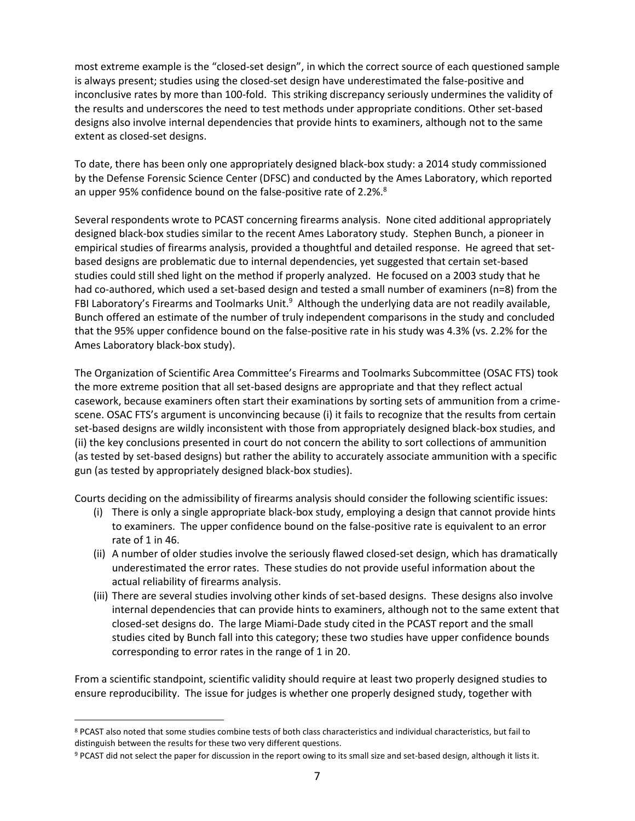most extreme example is the "closed-set design", in which the correct source of each questioned sample is always present; studies using the closed-set design have underestimated the false-positive and inconclusive rates by more than 100-fold. This striking discrepancy seriously undermines the validity of the results and underscores the need to test methods under appropriate conditions. Other set-based designs also involve internal dependencies that provide hints to examiners, although not to the same extent as closed-set designs.

To date, there has been only one appropriately designed black-box study: a 2014 study commissioned by the Defense Forensic Science Center (DFSC) and conducted by the Ames Laboratory, which reported an upper 95% confidence bound on the false-positive rate of 2.2%.<sup>8</sup>

Several respondents wrote to PCAST concerning firearms analysis. None cited additional appropriately designed black-box studies similar to the recent Ames Laboratory study. Stephen Bunch, a pioneer in empirical studies of firearms analysis, provided a thoughtful and detailed response. He agreed that setbased designs are problematic due to internal dependencies, yet suggested that certain set-based studies could still shed light on the method if properly analyzed. He focused on a 2003 study that he had co-authored, which used a set-based design and tested a small number of examiners (n=8) from the FBI Laboratory's Firearms and Toolmarks Unit. $9$  Although the underlying data are not readily available, Bunch offered an estimate of the number of truly independent comparisons in the study and concluded that the 95% upper confidence bound on the false-positive rate in his study was 4.3% (vs. 2.2% for the Ames Laboratory black-box study).

The Organization of Scientific Area Committee's Firearms and Toolmarks Subcommittee (OSAC FTS) took the more extreme position that all set-based designs are appropriate and that they reflect actual casework, because examiners often start their examinations by sorting sets of ammunition from a crimescene. OSAC FTS's argument is unconvincing because (i) it fails to recognize that the results from certain set-based designs are wildly inconsistent with those from appropriately designed black-box studies, and (ii) the key conclusions presented in court do not concern the ability to sort collections of ammunition (as tested by set-based designs) but rather the ability to accurately associate ammunition with a specific gun (as tested by appropriately designed black-box studies).

Courts deciding on the admissibility of firearms analysis should consider the following scientific issues:

- (i) There is only a single appropriate black-box study, employing a design that cannot provide hints to examiners. The upper confidence bound on the false-positive rate is equivalent to an error rate of 1 in 46.
- (ii) A number of older studies involve the seriously flawed closed-set design, which has dramatically underestimated the error rates. These studies do not provide useful information about the actual reliability of firearms analysis.
- (iii) There are several studies involving other kinds of set-based designs. These designs also involve internal dependencies that can provide hints to examiners, although not to the same extent that closed-set designs do. The large Miami-Dade study cited in the PCAST report and the small studies cited by Bunch fall into this category; these two studies have upper confidence bounds corresponding to error rates in the range of 1 in 20.

From a scientific standpoint, scientific validity should require at least two properly designed studies to ensure reproducibility. The issue for judges is whether one properly designed study, together with

 $\overline{a}$ 

<sup>8</sup> PCAST also noted that some studies combine tests of both class characteristics and individual characteristics, but fail to distinguish between the results for these two very different questions.

<sup>9</sup> PCAST did not select the paper for discussion in the report owing to its small size and set-based design, although it lists it.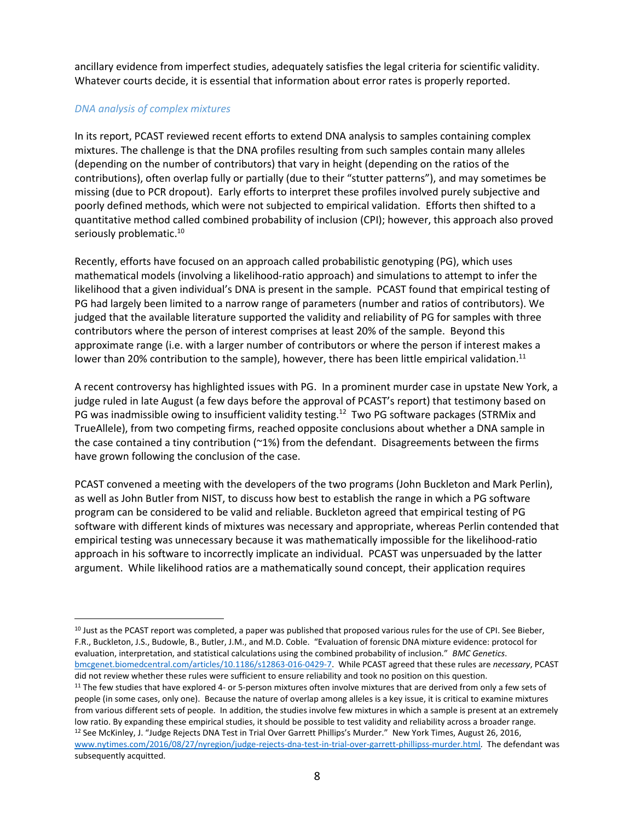ancillary evidence from imperfect studies, adequately satisfies the legal criteria for scientific validity. Whatever courts decide, it is essential that information about error rates is properly reported.

#### *DNA analysis of complex mixtures*

 $\overline{a}$ 

In its report, PCAST reviewed recent efforts to extend DNA analysis to samples containing complex mixtures. The challenge is that the DNA profiles resulting from such samples contain many alleles (depending on the number of contributors) that vary in height (depending on the ratios of the contributions), often overlap fully or partially (due to their "stutter patterns"), and may sometimes be missing (due to PCR dropout). Early efforts to interpret these profiles involved purely subjective and poorly defined methods, which were not subjected to empirical validation. Efforts then shifted to a quantitative method called combined probability of inclusion (CPI); however, this approach also proved seriously problematic.<sup>10</sup>

Recently, efforts have focused on an approach called probabilistic genotyping (PG), which uses mathematical models (involving a likelihood-ratio approach) and simulations to attempt to infer the likelihood that a given individual's DNA is present in the sample. PCAST found that empirical testing of PG had largely been limited to a narrow range of parameters (number and ratios of contributors). We judged that the available literature supported the validity and reliability of PG for samples with three contributors where the person of interest comprises at least 20% of the sample. Beyond this approximate range (i.e. with a larger number of contributors or where the person if interest makes a lower than 20% contribution to the sample), however, there has been little empirical validation.<sup>11</sup>

A recent controversy has highlighted issues with PG. In a prominent murder case in upstate New York, a judge ruled in late August (a few days before the approval of PCAST's report) that testimony based on PG was inadmissible owing to insufficient validity testing.<sup>12</sup> Two PG software packages (STRMix and TrueAllele), from two competing firms, reached opposite conclusions about whether a DNA sample in the case contained a tiny contribution ( $\sim$ 1%) from the defendant. Disagreements between the firms have grown following the conclusion of the case.

PCAST convened a meeting with the developers of the two programs (John Buckleton and Mark Perlin), as well as John Butler from NIST, to discuss how best to establish the range in which a PG software program can be considered to be valid and reliable. Buckleton agreed that empirical testing of PG software with different kinds of mixtures was necessary and appropriate, whereas Perlin contended that empirical testing was unnecessary because it was mathematically impossible for the likelihood-ratio approach in his software to incorrectly implicate an individual. PCAST was unpersuaded by the latter argument. While likelihood ratios are a mathematically sound concept, their application requires

<sup>&</sup>lt;sup>10</sup> Just as the PCAST report was completed, a paper was published that proposed various rules for the use of CPI. See Bieber, F.R., Buckleton, J.S., Budowle, B., Butler, J.M., and M.D. Coble. "Evaluation of forensic DNA mixture evidence: protocol for evaluation, interpretation, and statistical calculations using the combined probability of inclusion." *BMC Genetics*. [bmcgenet.biomedcentral.com/articles/10.1186/s12863-016-0429-7.](bmcgenet.biomedcentral.com/articles/10.1186/s12863-016-0429-7) While PCAST agreed that these rules are *necessary*, PCAST did not review whether these rules were sufficient to ensure reliability and took no position on this question. <sup>11</sup> The few studies that have explored 4- or 5-person mixtures often involve mixtures that are derived from only a few sets of people (in some cases, only one). Because the nature of overlap among alleles is a key issue, it is critical to examine mixtures from various different sets of people. In addition, the studies involve few mixtures in which a sample is present at an extremely low ratio. By expanding these empirical studies, it should be possible to test validity and reliability across a broader range. <sup>12</sup> See McKinley, J. "Judge Rejects DNA Test in Trial Over Garrett Phillips's Murder." New York Times, August 26, 2016, [www.nytimes.com/2016/08/27/nyregion/judge-rejects-dna-test-in-trial-over-garrett-phillipss-murder.html.](http://www.nytimes.com/2016/08/27/nyregion/judge-rejects-dna-test-in-trial-over-garrett-phillipss-murder.html) The defendant was subsequently acquitted.